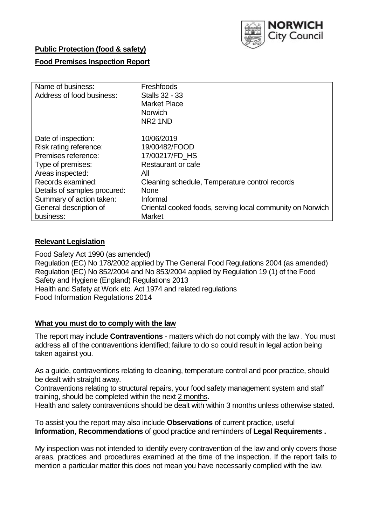

### **Public Protection (food & safety)**

### **Food Premises Inspection Report**

| Name of business:<br>Address of food business:                        | Freshfoods<br><b>Stalls 32 - 33</b><br><b>Market Place</b><br><b>Norwich</b><br>NR <sub>2</sub> 1ND |
|-----------------------------------------------------------------------|-----------------------------------------------------------------------------------------------------|
| Date of inspection:<br>Risk rating reference:                         | 10/06/2019<br>19/00482/FOOD                                                                         |
| Premises reference:                                                   | 17/00217/FD HS                                                                                      |
| Type of premises:                                                     | Restaurant or cafe                                                                                  |
| Areas inspected:<br>Records examined:<br>Details of samples procured: | All<br>Cleaning schedule, Temperature control records<br><b>None</b>                                |
| Summary of action taken:                                              | Informal                                                                                            |
| General description of<br>business:                                   | Oriental cooked foods, serving local community on Norwich<br><b>Market</b>                          |

### **Relevant Legislation**

Food Safety Act 1990 (as amended) Regulation (EC) No 178/2002 applied by The General Food Regulations 2004 (as amended) Regulation (EC) No 852/2004 and No 853/2004 applied by Regulation 19 (1) of the Food Safety and Hygiene (England) Regulations 2013 Health and Safety at Work etc. Act 1974 and related regulations Food Information Regulations 2014

### **What you must do to comply with the law**

The report may include **Contraventions** - matters which do not comply with the law . You must address all of the contraventions identified; failure to do so could result in legal action being taken against you.

As a guide, contraventions relating to cleaning, temperature control and poor practice, should be dealt with straight away.

Contraventions relating to structural repairs, your food safety management system and staff training, should be completed within the next 2 months.

Health and safety contraventions should be dealt with within 3 months unless otherwise stated.

To assist you the report may also include **Observations** of current practice, useful **Information**, **Recommendations** of good practice and reminders of **Legal Requirements .**

My inspection was not intended to identify every contravention of the law and only covers those areas, practices and procedures examined at the time of the inspection. If the report fails to mention a particular matter this does not mean you have necessarily complied with the law.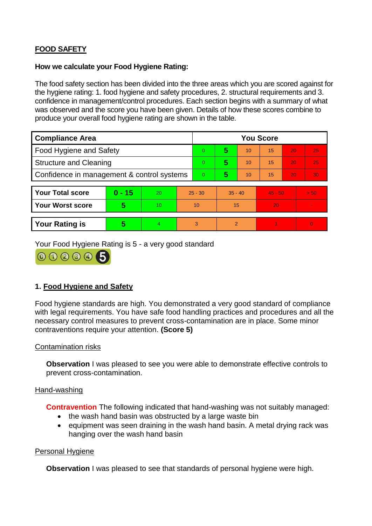# **FOOD SAFETY**

#### **How we calculate your Food Hygiene Rating:**

The food safety section has been divided into the three areas which you are scored against for the hygiene rating: 1. food hygiene and safety procedures, 2. structural requirements and 3. confidence in management/control procedures. Each section begins with a summary of what was observed and the score you have been given. Details of how these scores combine to produce your overall food hygiene rating are shown in the table.

| <b>Compliance Area</b>                     |          |    |                | <b>You Score</b> |           |    |           |    |                |  |
|--------------------------------------------|----------|----|----------------|------------------|-----------|----|-----------|----|----------------|--|
| Food Hygiene and Safety                    |          |    |                | $\Omega$         | 5         | 10 | 15        | 20 | 25             |  |
| <b>Structure and Cleaning</b>              |          |    | $\overline{0}$ | 5                | 10        | 15 | 20        | 25 |                |  |
| Confidence in management & control systems |          |    | $\overline{0}$ | 5                | 10        | 15 | 20        | 30 |                |  |
|                                            |          |    |                |                  |           |    |           |    |                |  |
| <b>Your Total score</b>                    | $0 - 15$ | 20 | $25 - 30$      |                  | $35 - 40$ |    | $45 - 50$ |    | > 50           |  |
| <b>Your Worst score</b>                    | 5        | 10 | 10             |                  | 15        |    | 20        |    |                |  |
|                                            |          |    |                |                  |           |    |           |    |                |  |
| <b>Your Rating is</b>                      | 5        | 4. | 3              |                  | 2         |    |           |    | $\overline{0}$ |  |

Your Food Hygiene Rating is 5 - a very good standard



## **1. Food Hygiene and Safety**

Food hygiene standards are high. You demonstrated a very good standard of compliance with legal requirements. You have safe food handling practices and procedures and all the necessary control measures to prevent cross-contamination are in place. Some minor contraventions require your attention. **(Score 5)**

### Contamination risks

**Observation** I was pleased to see you were able to demonstrate effective controls to prevent cross-contamination.

#### Hand-washing

**Contravention** The following indicated that hand-washing was not suitably managed:

- the wash hand basin was obstructed by a large waste bin
- equipment was seen draining in the wash hand basin. A metal drying rack was hanging over the wash hand basin

#### Personal Hygiene

**Observation** I was pleased to see that standards of personal hygiene were high.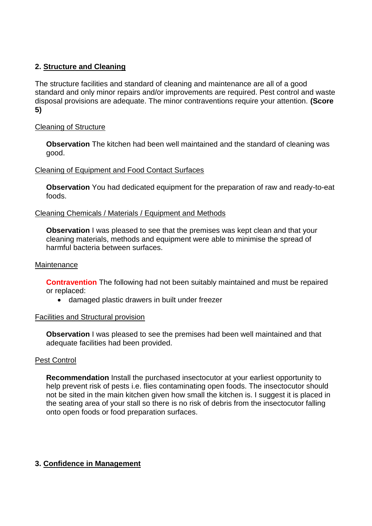## **2. Structure and Cleaning**

The structure facilities and standard of cleaning and maintenance are all of a good standard and only minor repairs and/or improvements are required. Pest control and waste disposal provisions are adequate. The minor contraventions require your attention. **(Score 5)**

### Cleaning of Structure

**Observation** The kitchen had been well maintained and the standard of cleaning was good.

### Cleaning of Equipment and Food Contact Surfaces

**Observation** You had dedicated equipment for the preparation of raw and ready-to-eat foods.

#### Cleaning Chemicals / Materials / Equipment and Methods

**Observation** I was pleased to see that the premises was kept clean and that your cleaning materials, methods and equipment were able to minimise the spread of harmful bacteria between surfaces.

#### **Maintenance**

**Contravention** The following had not been suitably maintained and must be repaired or replaced:

damaged plastic drawers in built under freezer

#### Facilities and Structural provision

**Observation** I was pleased to see the premises had been well maintained and that adequate facilities had been provided.

### Pest Control

**Recommendation** Install the purchased insectocutor at your earliest opportunity to help prevent risk of pests i.e. flies contaminating open foods. The insectocutor should not be sited in the main kitchen given how small the kitchen is. I suggest it is placed in the seating area of your stall so there is no risk of debris from the insectocutor falling onto open foods or food preparation surfaces.

### **3. Confidence in Management**